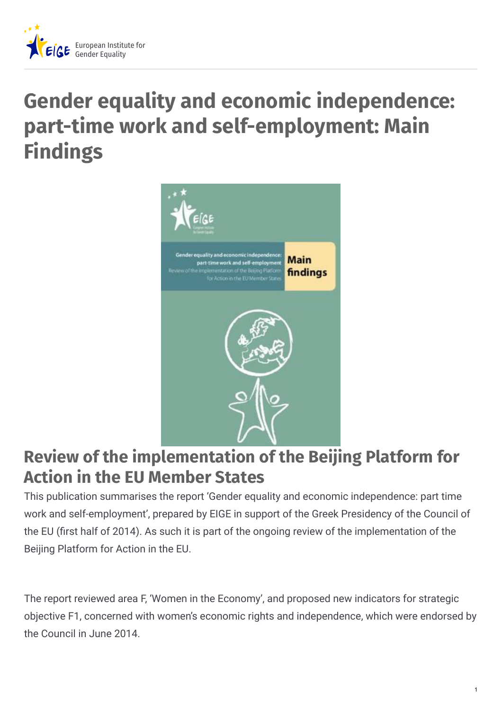

# **Gender equality and economic independence: part-time work and self-employment: Main Findings**



## **Review of the implementation of the Beijing Platform for Action in the EU Member States**

This publication summarises the report 'Gender equality and economic independence: part time work and self-employment', prepared by EIGE in support of the Greek Presidency of the Council of the EU (first half of 2014). As such it is part of the ongoing review of the implementation of the Beijing Platform for Action in the EU.

The report reviewed area F, 'Women in the Economy', and proposed new indicators for strategic objective F1, concerned with women's economic rights and independence, which were endorsed by the Council in June 2014.